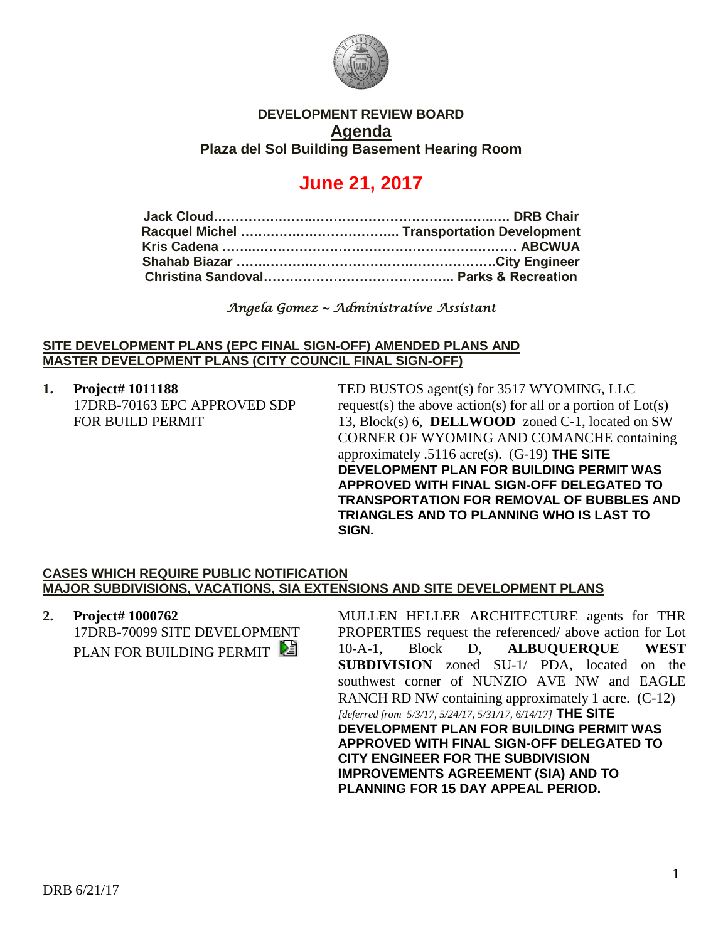

## **DEVELOPMENT REVIEW BOARD Agenda Plaza del Sol Building Basement Hearing Room**

# **June 21, 2017**

*Angela Gomez ~ Administrative Assistant*

#### **SITE DEVELOPMENT PLANS (EPC FINAL SIGN-OFF) AMENDED PLANS AND MASTER DEVELOPMENT PLANS (CITY COUNCIL FINAL SIGN-OFF)**

**1. Project# 1011188** 17DRB-70163 EPC APPROVED SDP FOR BUILD PERMIT

TED BUSTOS agent(s) for 3517 WYOMING, LLC request(s) the above action(s) for all or a portion of  $Lot(s)$ 13, Block(s) 6, **DELLWOOD** zoned C-1, located on SW CORNER OF WYOMING AND COMANCHE containing approximately .5116 acre(s). (G-19) **THE SITE DEVELOPMENT PLAN FOR BUILDING PERMIT WAS APPROVED WITH FINAL SIGN-OFF DELEGATED TO TRANSPORTATION FOR REMOVAL OF BUBBLES AND TRIANGLES AND TO PLANNING WHO IS LAST TO SIGN.**

### **CASES WHICH REQUIRE PUBLIC NOTIFICATION MAJOR SUBDIVISIONS, VACATIONS, SIA EXTENSIONS AND SITE DEVELOPMENT PLANS**

**2. Project# 1000762** 17DRB-70099 SITE DEVELOPMENT PLAN FOR BUILDING PERMIT

MULLEN HELLER ARCHITECTURE agents for THR PROPERTIES request the referenced/ above action for Lot 10-A-1, Block D, **ALBUQUERQUE WEST SUBDIVISION** zoned SU-1/ PDA, located on the southwest corner of NUNZIO AVE NW and EAGLE RANCH RD NW containing approximately 1 acre. (C-12) *[deferred from 5/3/17, 5/24/17, 5/31/17, 6/14/17]* **THE SITE DEVELOPMENT PLAN FOR BUILDING PERMIT WAS APPROVED WITH FINAL SIGN-OFF DELEGATED TO CITY ENGINEER FOR THE SUBDIVISION IMPROVEMENTS AGREEMENT (SIA) AND TO PLANNING FOR 15 DAY APPEAL PERIOD.**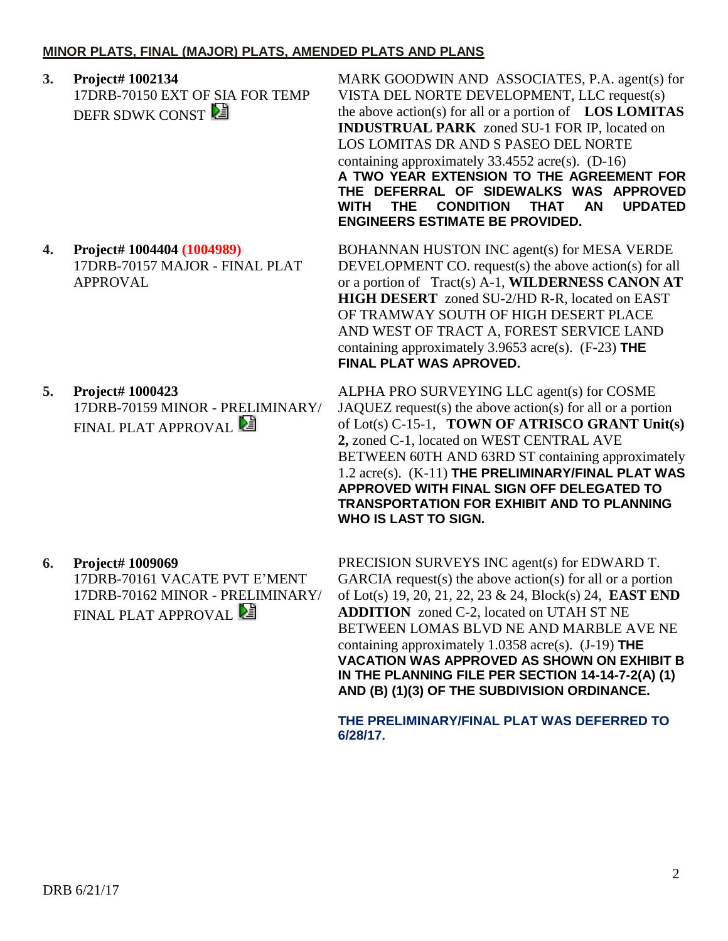## **MINOR PLATS, FINAL (MAJOR) PLATS, AMENDED PLATS AND PLANS**

**3. Project# 1002134** 17DRB-70150 EXT OF SIA FOR TEMP DEFR SDWK CONST

**4. Project# 1004404 (1004989)** 17DRB-70157 MAJOR - FINAL PLAT APPROVAL

**5. Project# 1000423** 17DRB-70159 MINOR - PRELIMINARY/ FINAL PLAT APPROVAL

**6. Project# 1009069**

17DRB-70161 VACATE PVT E'MENT 17DRB-70162 MINOR - PRELIMINARY/ FINAL PLAT APPROVAL

MARK GOODWIN AND ASSOCIATES, P.A. agent(s) for VISTA DEL NORTE DEVELOPMENT, LLC request(s) the above action(s) for all or a portion of **LOS LOMITAS INDUSTRUAL PARK** zoned SU-1 FOR IP, located on LOS LOMITAS DR AND S PASEO DEL NORTE containing approximately 33.4552 acre(s). (D-16) **A TWO YEAR EXTENSION TO THE AGREEMENT FOR THE DEFERRAL OF SIDEWALKS WAS APPROVED WITH THE CONDITION THAT AN UPDATED ENGINEERS ESTIMATE BE PROVIDED.**

BOHANNAN HUSTON INC agent(s) for MESA VERDE DEVELOPMENT CO. request(s) the above action(s) for all or a portion of Tract(s) A-1, **WILDERNESS CANON AT HIGH DESERT** zoned SU-2/HD R-R, located on EAST OF TRAMWAY SOUTH OF HIGH DESERT PLACE AND WEST OF TRACT A, FOREST SERVICE LAND containing approximately 3.9653 acre(s). (F-23) **THE FINAL PLAT WAS APROVED.**

ALPHA PRO SURVEYING LLC agent(s) for COSME JAQUEZ request(s) the above action(s) for all or a portion of Lot(s) C-15-1, **TOWN OF ATRISCO GRANT Unit(s) 2,** zoned C-1, located on WEST CENTRAL AVE BETWEEN 60TH AND 63RD ST containing approximately 1.2 acre(s). (K-11) **THE PRELIMINARY/FINAL PLAT WAS APPROVED WITH FINAL SIGN OFF DELEGATED TO TRANSPORTATION FOR EXHIBIT AND TO PLANNING WHO IS LAST TO SIGN.**

PRECISION SURVEYS INC agent(s) for EDWARD T. GARCIA request(s) the above action(s) for all or a portion of Lot(s) 19, 20, 21, 22, 23 & 24, Block(s) 24, **EAST END ADDITION** zoned C-2, located on UTAH ST NE BETWEEN LOMAS BLVD NE AND MARBLE AVE NE containing approximately 1.0358 acre(s). (J-19) **THE VACATION WAS APPROVED AS SHOWN ON EXHIBIT B IN THE PLANNING FILE PER SECTION 14-14-7-2(A) (1) AND (B) (1)(3) OF THE SUBDIVISION ORDINANCE.**

**THE PRELIMINARY/FINAL PLAT WAS DEFERRED TO 6/28/17.**